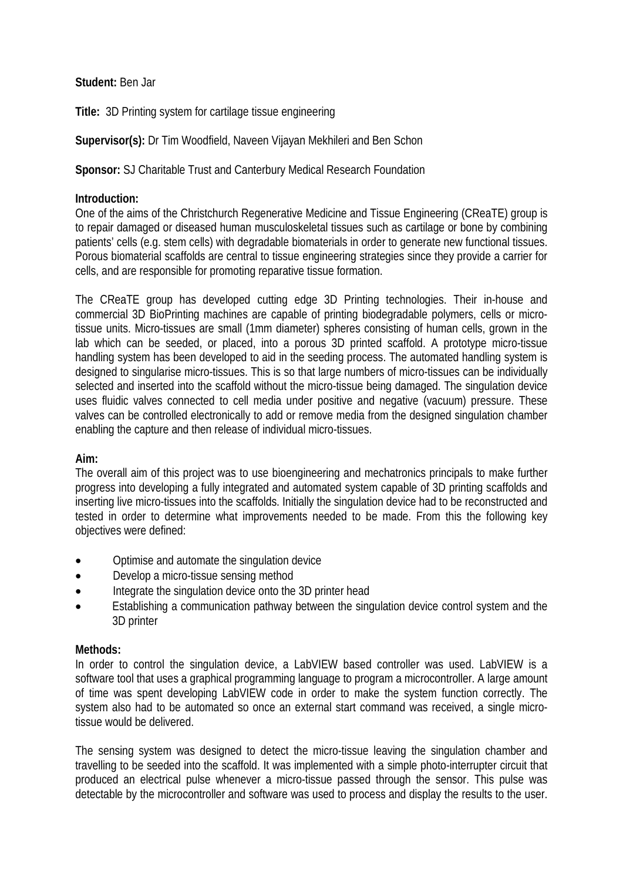### **Student:** Ben Jar

**Title:** 3D Printing system for cartilage tissue engineering

# **Supervisor(s):** Dr Tim Woodfield, Naveen Vijayan Mekhileri and Ben Schon

## **Sponsor:** SJ Charitable Trust and Canterbury Medical Research Foundation

#### **Introduction:**

One of the aims of the Christchurch Regenerative Medicine and Tissue Engineering (CReaTE) group is to repair damaged or diseased human musculoskeletal tissues such as cartilage or bone by combining patients' cells (e.g. stem cells) with degradable biomaterials in order to generate new functional tissues. Porous biomaterial scaffolds are central to tissue engineering strategies since they provide a carrier for cells, and are responsible for promoting reparative tissue formation.

The CReaTE group has developed cutting edge 3D Printing technologies. Their in-house and commercial 3D BioPrinting machines are capable of printing biodegradable polymers, cells or microtissue units. Micro-tissues are small (1mm diameter) spheres consisting of human cells, grown in the lab which can be seeded, or placed, into a porous 3D printed scaffold. A prototype micro-tissue handling system has been developed to aid in the seeding process. The automated handling system is designed to singularise micro-tissues. This is so that large numbers of micro-tissues can be individually selected and inserted into the scaffold without the micro-tissue being damaged. The singulation device uses fluidic valves connected to cell media under positive and negative (vacuum) pressure. These valves can be controlled electronically to add or remove media from the designed singulation chamber enabling the capture and then release of individual micro-tissues.

#### **Aim:**

The overall aim of this project was to use bioengineering and mechatronics principals to make further progress into developing a fully integrated and automated system capable of 3D printing scaffolds and inserting live micro-tissues into the scaffolds. Initially the singulation device had to be reconstructed and tested in order to determine what improvements needed to be made. From this the following key objectives were defined:

- Optimise and automate the singulation device
- Develop a micro-tissue sensing method
- Integrate the singulation device onto the 3D printer head
- Establishing a communication pathway between the singulation device control system and the 3D printer

#### **Methods:**

In order to control the singulation device, a LabVIEW based controller was used. LabVIEW is a software tool that uses a graphical programming language to program a microcontroller. A large amount of time was spent developing LabVIEW code in order to make the system function correctly. The system also had to be automated so once an external start command was received, a single microtissue would be delivered.

The sensing system was designed to detect the micro-tissue leaving the singulation chamber and travelling to be seeded into the scaffold. It was implemented with a simple photo-interrupter circuit that produced an electrical pulse whenever a micro-tissue passed through the sensor. This pulse was detectable by the microcontroller and software was used to process and display the results to the user.